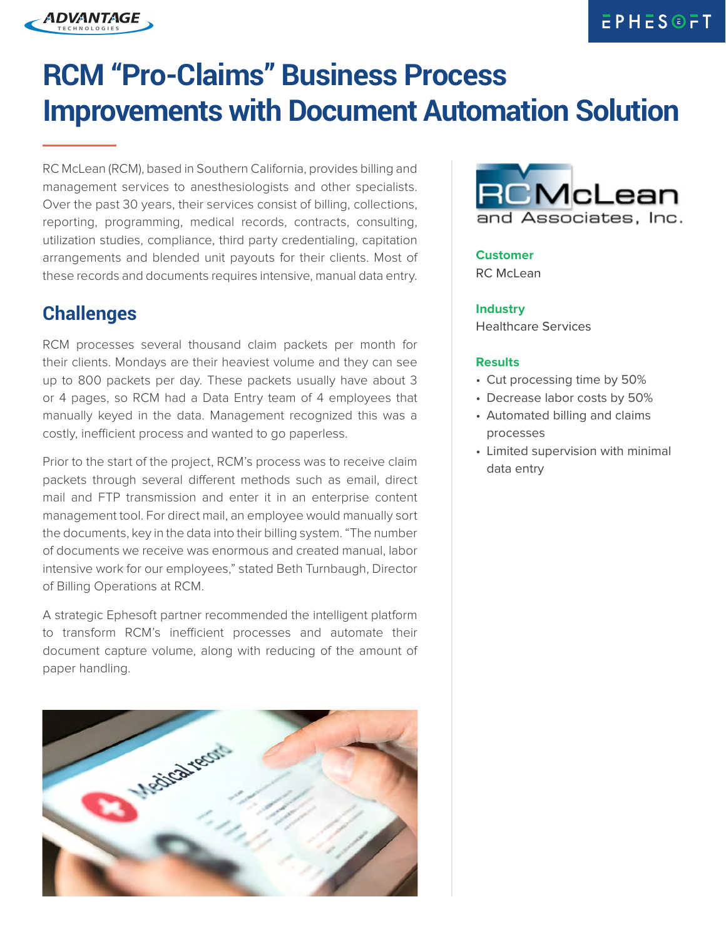# **RCM "Pro-Claims" Business Process Improvements with Document Automation Solution**

RC McLean (RCM), based in Southern California, provides billing and management services to anesthesiologists and other specialists. Over the past 30 years, their services consist of billing, collections, reporting, programming, medical records, contracts, consulting, utilization studies, compliance, third party credentialing, capitation arrangements and blended unit payouts for their clients. Most of these records and documents requires intensive, manual data entry.

## **Challenges**

ADVANTAGE

RCM processes several thousand claim packets per month for their clients. Mondays are their heaviest volume and they can see up to 800 packets per day. These packets usually have about 3 or 4 pages, so RCM had a Data Entry team of 4 employees that manually keyed in the data. Management recognized this was a costly, inefficient process and wanted to go paperless.

Prior to the start of the project, RCM's process was to receive claim packets through several different methods such as email, direct mail and FTP transmission and enter it in an enterprise content management tool. For direct mail, an employee would manually sort the documents, key in the data into their billing system. "The number of documents we receive was enormous and created manual, labor intensive work for our employees," stated Beth Turnbaugh, Director of Billing Operations at RCM.

A strategic Ephesoft partner recommended the intelligent platform to transform RCM's inefficient processes and automate their document capture volume, along with reducing of the amount of paper handling.





### **Customer**

RC McLean

#### **Industry**

Healthcare Services

#### **Results**

- Cut processing time by 50%
- Decrease labor costs by 50%
- Automated billing and claims processes
- Limited supervision with minimal data entry